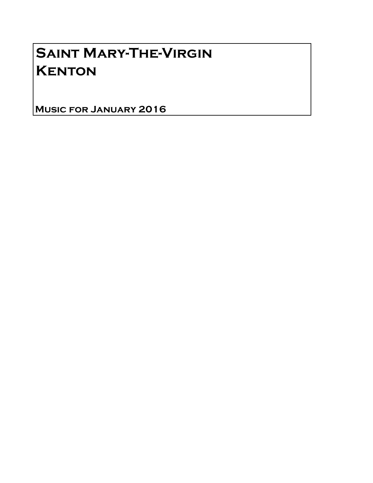# Saint Mary-The-Virgin **KENTON**

Music for January 2016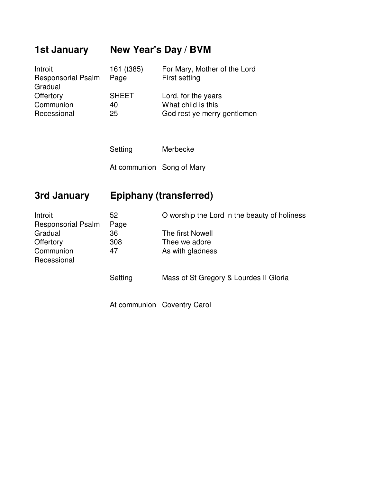## **1st January New Year's Day / BVM**

| Introit                   | 161 (t385)   | For Mary, Mother of the Lord |
|---------------------------|--------------|------------------------------|
| <b>Responsorial Psalm</b> | Page         | First setting                |
| Gradual                   |              |                              |
| Offertory                 | <b>SHEET</b> | Lord, for the years          |
| Communion                 | 40           | What child is this           |
| Recessional               | 25           | God rest ye merry gentlemen  |

Setting Merbecke At communion Song of Mary

#### **3rd January Epiphany (transferred)**

| Introit<br><b>Responsorial Psalm</b> | 52<br>Page | O worship the Lord in the beauty of holiness |
|--------------------------------------|------------|----------------------------------------------|
| Gradual                              | 36         | The first Nowell                             |
| Offertory                            | 308        | Thee we adore                                |
| Communion<br>Recessional             | 47         | As with gladness                             |
|                                      | Setting    | Mass of St Gregory & Lourdes II Gloria       |

At communion Coventry Carol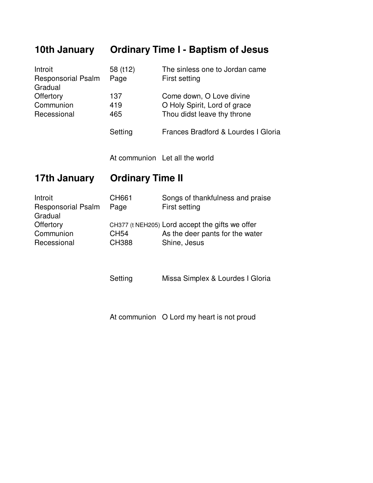#### **10th January Ordinary Time I - Baptism of Jesus**

| Introit                   | 58 (t12) | The sinless one to Jordan came      |
|---------------------------|----------|-------------------------------------|
| <b>Responsorial Psalm</b> | Page     | First setting                       |
| Gradual                   |          |                                     |
| Offertory                 | 137      | Come down, O Love divine            |
| Communion                 | 419      | O Holy Spirit, Lord of grace        |
| Recessional               | 465      | Thou didst leave thy throne         |
|                           | Setting  | Frances Bradford & Lourdes I Gloria |

At communion Let all the world

#### **17th January Ordinary Time II**

| Introit                   | <b>CH661</b>     | Songs of thankfulness and praise                |
|---------------------------|------------------|-------------------------------------------------|
| <b>Responsorial Psalm</b> | Page             | First setting                                   |
| Gradual                   |                  |                                                 |
| Offertory                 |                  | CH377 (t NEH205) Lord accept the gifts we offer |
| Communion                 | CH <sub>54</sub> | As the deer pants for the water                 |
| Recessional               | <b>CH388</b>     | Shine, Jesus                                    |
|                           |                  |                                                 |

Setting Missa Simplex & Lourdes I Gloria

At communion O Lord my heart is not proud